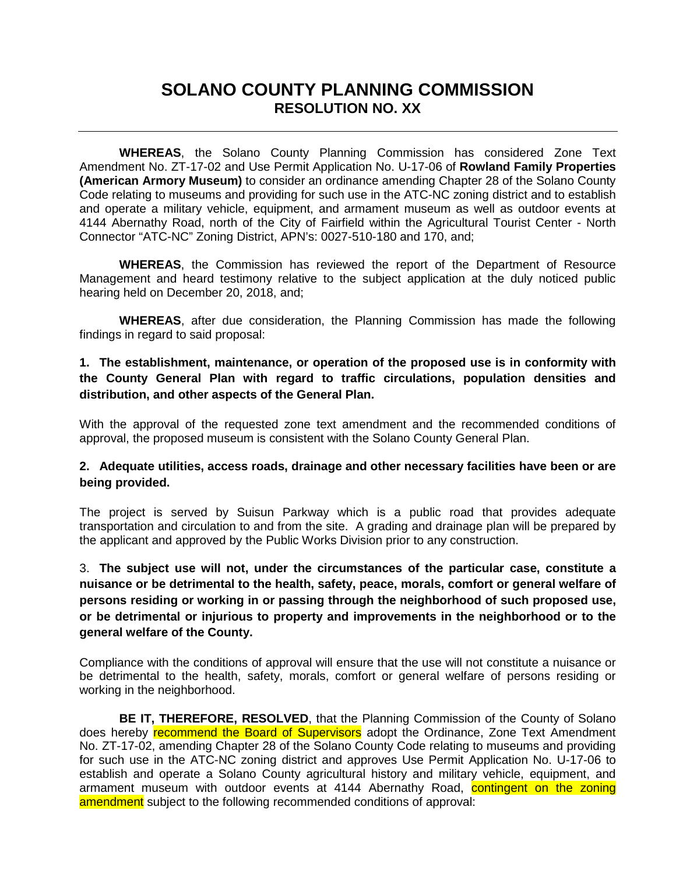# **SOLANO COUNTY PLANNING COMMISSION RESOLUTION NO. XX**

**WHEREAS**, the Solano County Planning Commission has considered Zone Text Amendment No. ZT-17-02 and Use Permit Application No. U-17-06 of **Rowland Family Properties (American Armory Museum)** to consider an ordinance amending Chapter 28 of the Solano County Code relating to museums and providing for such use in the ATC-NC zoning district and to establish and operate a military vehicle, equipment, and armament museum as well as outdoor events at 4144 Abernathy Road, north of the City of Fairfield within the Agricultural Tourist Center - North Connector "ATC-NC" Zoning District, APN's: 0027-510-180 and 170, and;

**WHEREAS**, the Commission has reviewed the report of the Department of Resource Management and heard testimony relative to the subject application at the duly noticed public hearing held on December 20, 2018, and;

**WHEREAS**, after due consideration, the Planning Commission has made the following findings in regard to said proposal:

## **1. The establishment, maintenance, or operation of the proposed use is in conformity with the County General Plan with regard to traffic circulations, population densities and distribution, and other aspects of the General Plan.**

With the approval of the requested zone text amendment and the recommended conditions of approval, the proposed museum is consistent with the Solano County General Plan.

## **2. Adequate utilities, access roads, drainage and other necessary facilities have been or are being provided.**

The project is served by Suisun Parkway which is a public road that provides adequate transportation and circulation to and from the site. A grading and drainage plan will be prepared by the applicant and approved by the Public Works Division prior to any construction.

3. **The subject use will not, under the circumstances of the particular case, constitute a nuisance or be detrimental to the health, safety, peace, morals, comfort or general welfare of persons residing or working in or passing through the neighborhood of such proposed use, or be detrimental or injurious to property and improvements in the neighborhood or to the general welfare of the County.**

Compliance with the conditions of approval will ensure that the use will not constitute a nuisance or be detrimental to the health, safety, morals, comfort or general welfare of persons residing or working in the neighborhood.

**BE IT, THEREFORE, RESOLVED**, that the Planning Commission of the County of Solano does hereby **recommend the Board of Supervisors** adopt the Ordinance, Zone Text Amendment No. ZT-17-02, amending Chapter 28 of the Solano County Code relating to museums and providing for such use in the ATC-NC zoning district and approves Use Permit Application No. U-17-06 to establish and operate a Solano County agricultural history and military vehicle, equipment, and armament museum with outdoor events at 4144 Abernathy Road, contingent on the zoning amendment subject to the following recommended conditions of approval: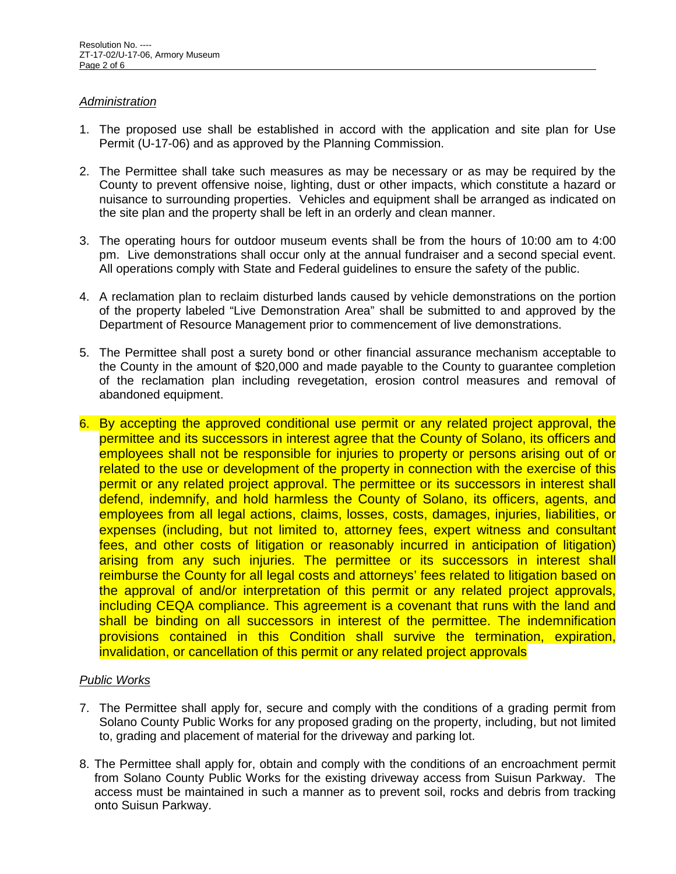## *Administration*

- 1. The proposed use shall be established in accord with the application and site plan for Use Permit (U-17-06) and as approved by the Planning Commission.
- 2. The Permittee shall take such measures as may be necessary or as may be required by the County to prevent offensive noise, lighting, dust or other impacts, which constitute a hazard or nuisance to surrounding properties. Vehicles and equipment shall be arranged as indicated on the site plan and the property shall be left in an orderly and clean manner.
- 3. The operating hours for outdoor museum events shall be from the hours of 10:00 am to 4:00 pm. Live demonstrations shall occur only at the annual fundraiser and a second special event. All operations comply with State and Federal guidelines to ensure the safety of the public.
- 4. A reclamation plan to reclaim disturbed lands caused by vehicle demonstrations on the portion of the property labeled "Live Demonstration Area" shall be submitted to and approved by the Department of Resource Management prior to commencement of live demonstrations.
- 5. The Permittee shall post a surety bond or other financial assurance mechanism acceptable to the County in the amount of \$20,000 and made payable to the County to guarantee completion of the reclamation plan including revegetation, erosion control measures and removal of abandoned equipment.
- 6. By accepting the approved conditional use permit or any related project approval, the permittee and its successors in interest agree that the County of Solano, its officers and employees shall not be responsible for injuries to property or persons arising out of or related to the use or development of the property in connection with the exercise of this permit or any related project approval. The permittee or its successors in interest shall defend, indemnify, and hold harmless the County of Solano, its officers, agents, and employees from all legal actions, claims, losses, costs, damages, injuries, liabilities, or expenses (including, but not limited to, attorney fees, expert witness and consultant fees, and other costs of litigation or reasonably incurred in anticipation of litigation) arising from any such injuries. The permittee or its successors in interest shall reimburse the County for all legal costs and attorneys' fees related to litigation based on the approval of and/or interpretation of this permit or any related project approvals, including CEQA compliance. This agreement is a covenant that runs with the land and shall be binding on all successors in interest of the permittee. The indemnification provisions contained in this Condition shall survive the termination, expiration, invalidation, or cancellation of this permit or any related project approvals

## *Public Works*

- 7. The Permittee shall apply for, secure and comply with the conditions of a grading permit from Solano County Public Works for any proposed grading on the property, including, but not limited to, grading and placement of material for the driveway and parking lot.
- 8. The Permittee shall apply for, obtain and comply with the conditions of an encroachment permit from Solano County Public Works for the existing driveway access from Suisun Parkway. The access must be maintained in such a manner as to prevent soil, rocks and debris from tracking onto Suisun Parkway.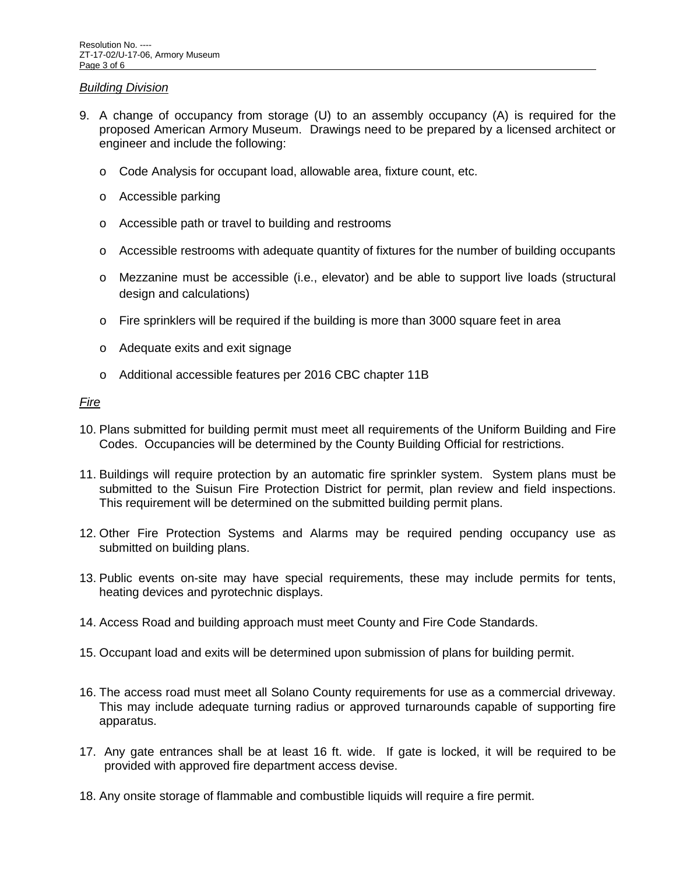#### *Building Division*

- 9. A change of occupancy from storage (U) to an assembly occupancy (A) is required for the proposed American Armory Museum. Drawings need to be prepared by a licensed architect or engineer and include the following:
	- o Code Analysis for occupant load, allowable area, fixture count, etc.
	- o Accessible parking
	- o Accessible path or travel to building and restrooms
	- $\circ$  Accessible restrooms with adequate quantity of fixtures for the number of building occupants
	- o Mezzanine must be accessible (i.e., elevator) and be able to support live loads (structural design and calculations)
	- o Fire sprinklers will be required if the building is more than 3000 square feet in area
	- o Adequate exits and exit signage
	- o Additional accessible features per 2016 CBC chapter 11B

#### *Fire*

- 10. Plans submitted for building permit must meet all requirements of the Uniform Building and Fire Codes. Occupancies will be determined by the County Building Official for restrictions.
- 11. Buildings will require protection by an automatic fire sprinkler system. System plans must be submitted to the Suisun Fire Protection District for permit, plan review and field inspections. This requirement will be determined on the submitted building permit plans.
- 12. Other Fire Protection Systems and Alarms may be required pending occupancy use as submitted on building plans.
- 13. Public events on-site may have special requirements, these may include permits for tents, heating devices and pyrotechnic displays.
- 14. Access Road and building approach must meet County and Fire Code Standards.
- 15. Occupant load and exits will be determined upon submission of plans for building permit.
- 16. The access road must meet all Solano County requirements for use as a commercial driveway. This may include adequate turning radius or approved turnarounds capable of supporting fire apparatus.
- 17. Any gate entrances shall be at least 16 ft. wide. If gate is locked, it will be required to be provided with approved fire department access devise.
- 18. Any onsite storage of flammable and combustible liquids will require a fire permit.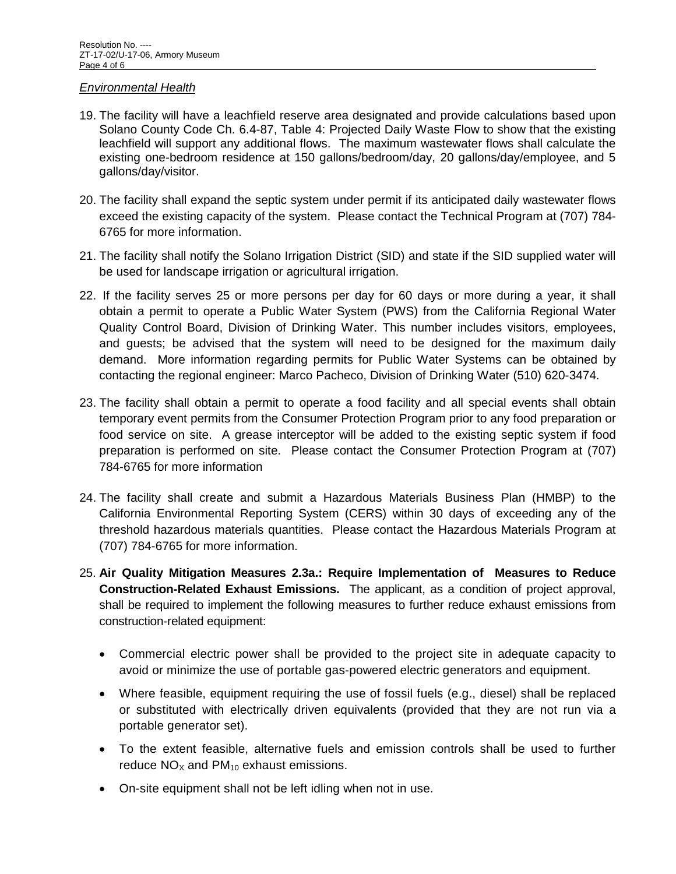#### *Environmental Health*

- 19. The facility will have a leachfield reserve area designated and provide calculations based upon Solano County Code Ch. 6.4-87, Table 4: Projected Daily Waste Flow to show that the existing leachfield will support any additional flows. The maximum wastewater flows shall calculate the existing one-bedroom residence at 150 gallons/bedroom/day, 20 gallons/day/employee, and 5 gallons/day/visitor.
- 20. The facility shall expand the septic system under permit if its anticipated daily wastewater flows exceed the existing capacity of the system. Please contact the Technical Program at (707) 784- 6765 for more information.
- 21. The facility shall notify the Solano Irrigation District (SID) and state if the SID supplied water will be used for landscape irrigation or agricultural irrigation.
- 22. If the facility serves 25 or more persons per day for 60 days or more during a year, it shall obtain a permit to operate a Public Water System (PWS) from the California Regional Water Quality Control Board, Division of Drinking Water. This number includes visitors, employees, and guests; be advised that the system will need to be designed for the maximum daily demand. More information regarding permits for Public Water Systems can be obtained by contacting the regional engineer: Marco Pacheco, Division of Drinking Water (510) 620-3474.
- 23. The facility shall obtain a permit to operate a food facility and all special events shall obtain temporary event permits from the Consumer Protection Program prior to any food preparation or food service on site. A grease interceptor will be added to the existing septic system if food preparation is performed on site. Please contact the Consumer Protection Program at (707) 784-6765 for more information
- 24. The facility shall create and submit a Hazardous Materials Business Plan (HMBP) to the California Environmental Reporting System (CERS) within 30 days of exceeding any of the threshold hazardous materials quantities. Please contact the Hazardous Materials Program at (707) 784-6765 for more information.
- 25. **Air Quality Mitigation Measures 2.3a.: Require Implementation of Measures to Reduce Construction-Related Exhaust Emissions.** The applicant, as a condition of project approval, shall be required to implement the following measures to further reduce exhaust emissions from construction-related equipment:
	- Commercial electric power shall be provided to the project site in adequate capacity to avoid or minimize the use of portable gas-powered electric generators and equipment.
	- Where feasible, equipment requiring the use of fossil fuels (e.g., diesel) shall be replaced or substituted with electrically driven equivalents (provided that they are not run via a portable generator set).
	- To the extent feasible, alternative fuels and emission controls shall be used to further reduce  $NO<sub>X</sub>$  and  $PM<sub>10</sub>$  exhaust emissions.
	- On-site equipment shall not be left idling when not in use.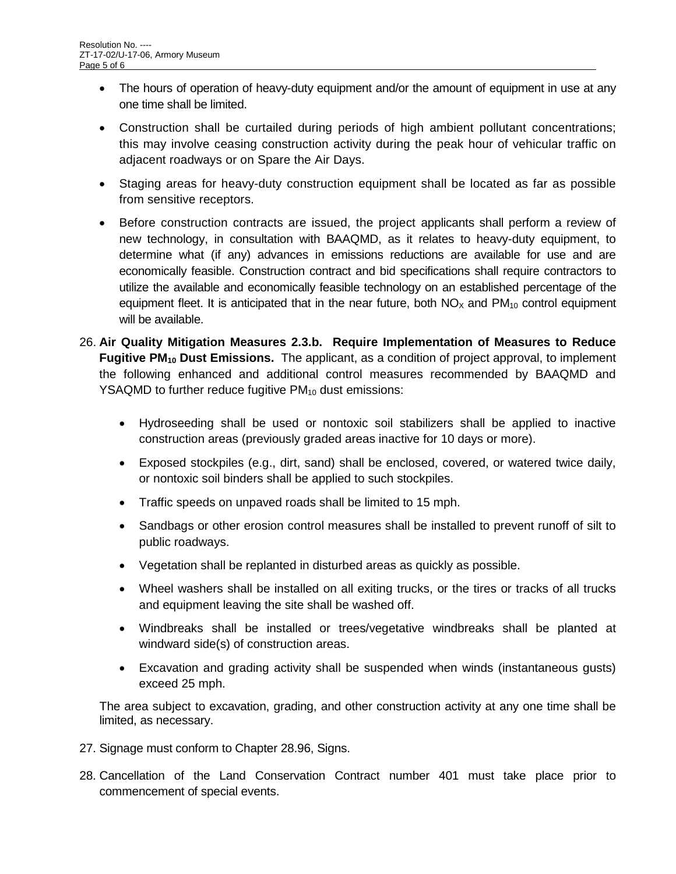- The hours of operation of heavy-duty equipment and/or the amount of equipment in use at any one time shall be limited.
- Construction shall be curtailed during periods of high ambient pollutant concentrations; this may involve ceasing construction activity during the peak hour of vehicular traffic on adjacent roadways or on Spare the Air Days.
- Staging areas for heavy-duty construction equipment shall be located as far as possible from sensitive receptors.
- Before construction contracts are issued, the project applicants shall perform a review of new technology, in consultation with BAAQMD, as it relates to heavy-duty equipment, to determine what (if any) advances in emissions reductions are available for use and are economically feasible. Construction contract and bid specifications shall require contractors to utilize the available and economically feasible technology on an established percentage of the equipment fleet. It is anticipated that in the near future, both  $NO<sub>X</sub>$  and  $PM<sub>10</sub>$  control equipment will be available.
- 26. **Air Quality Mitigation Measures 2.3.b. Require Implementation of Measures to Reduce Fugitive PM<sub>10</sub> Dust Emissions.** The applicant, as a condition of project approval, to implement the following enhanced and additional control measures recommended by BAAQMD and YSAQMD to further reduce fugitive  $PM_{10}$  dust emissions:
	- Hydroseeding shall be used or nontoxic soil stabilizers shall be applied to inactive construction areas (previously graded areas inactive for 10 days or more).
	- Exposed stockpiles (e.g., dirt, sand) shall be enclosed, covered, or watered twice daily, or nontoxic soil binders shall be applied to such stockpiles.
	- Traffic speeds on unpaved roads shall be limited to 15 mph.
	- Sandbags or other erosion control measures shall be installed to prevent runoff of silt to public roadways.
	- Vegetation shall be replanted in disturbed areas as quickly as possible.
	- Wheel washers shall be installed on all exiting trucks, or the tires or tracks of all trucks and equipment leaving the site shall be washed off.
	- Windbreaks shall be installed or trees/vegetative windbreaks shall be planted at windward side(s) of construction areas.
	- Excavation and grading activity shall be suspended when winds (instantaneous gusts) exceed 25 mph.

The area subject to excavation, grading, and other construction activity at any one time shall be limited, as necessary.

- 27. Signage must conform to Chapter 28.96, Signs.
- 28. Cancellation of the Land Conservation Contract number 401 must take place prior to commencement of special events.